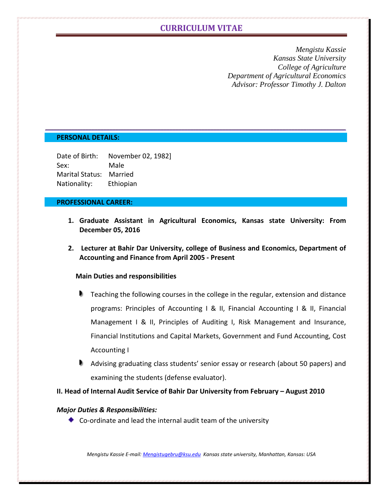*Mengistu Kassie Kansas State University College of Agriculture Department of Agricultural Economics Advisor: Professor Timothy J. Dalton*

### **PERSONAL DETAILS:**

| Date of Birth:  | November 02, 1982] |
|-----------------|--------------------|
| Sex:            | Male               |
| Marital Status: | Married            |
| Nationality:    | Ethiopian          |

### **PROFESSIONAL CAREER:**

- **1. Graduate Assistant in Agricultural Economics, Kansas state University: From December 05, 2016**
- **2. Lecturer at Bahir Dar University, college of Business and Economics, Department of Accounting and Finance from April 2005 - Present**

#### **Main Duties and responsibilities**

- **Teaching the following courses in the college in the regular, extension and distance** programs: Principles of Accounting I & II, Financial Accounting I & II, Financial Management I & II, Principles of Auditing I, Risk Management and Insurance, Financial Institutions and Capital Markets, Government and Fund Accounting, Cost Accounting I
- Advising graduating class students' senior essay or research (about 50 papers) and examining the students (defense evaluator).

### **II. Head of Internal Audit Service of Bahir Dar University from February – August 2010**

### *Major Duties & Responsibilities:*

Co-ordinate and lead the internal audit team of the university

*Mengistu Kassie E-mail[: Mengistugebru@ksu.edu](mailto:Mengistugebru@ksu.edu) Kansas state university, Manhattan, Kansas: USA*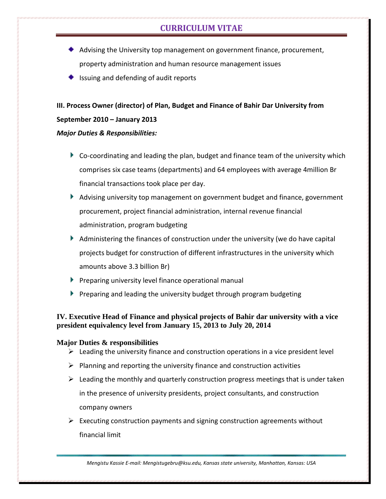- Advising the University top management on government finance, procurement, property administration and human resource management issues
- $\bullet$  Issuing and defending of audit reports

# **III. Process Owner (director) of Plan, Budget and Finance of Bahir Dar University from September 2010 – January 2013**

## *Major Duties & Responsibilities:*

- Co-coordinating and leading the plan, budget and finance team of the university which comprises six case teams (departments) and 64 employees with average 4million Br financial transactions took place per day.
- Advising university top management on government budget and finance, government procurement, project financial administration, internal revenue financial administration, program budgeting
- Administering the finances of construction under the university (we do have capital projects budget for construction of different infrastructures in the university which amounts above 3.3 billion Br)
- $\blacktriangleright$  Preparing university level finance operational manual
- Preparing and leading the university budget through program budgeting

## **IV. Executive Head of Finance and physical projects of Bahir dar university with a vice president equivalency level from January 15, 2013 to July 20, 2014**

## **Major Duties & responsibilities**

- $\triangleright$  Leading the university finance and construction operations in a vice president level
- $\triangleright$  Planning and reporting the university finance and construction activities
- $\triangleright$  Leading the monthly and quarterly construction progress meetings that is under taken in the presence of university presidents, project consultants, and construction company owners
- $\triangleright$  Executing construction payments and signing construction agreements without financial limit

*Mengistu Kassie E-mail: Mengistugebru@ksu.edu, Kansas state university, Manhattan, Kansas: USA*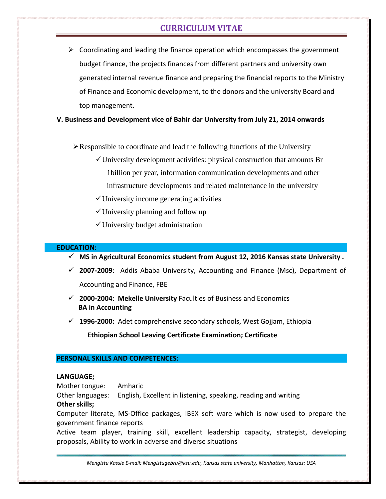$\triangleright$  Coordinating and leading the finance operation which encompasses the government budget finance, the projects finances from different partners and university own generated internal revenue finance and preparing the financial reports to the Ministry of Finance and Economic development, to the donors and the university Board and top management.

### **V. Business and Development vice of Bahir dar University from July 21, 2014 onwards**

 $\triangleright$  Responsible to coordinate and lead the following functions of the University

- $\checkmark$  University development activities: physical construction that amounts Br 1billion per year, information communication developments and other infrastructure developments and related maintenance in the university
- $\checkmark$  University income generating activities
- $\checkmark$  University planning and follow up
- $\checkmark$  University budget administration

#### **EDUCATION:**

- **MS in Agricultural Economics student from August 12, 2016 Kansas state University .**
- **2007-2009**: Addis Ababa University, Accounting and Finance (Msc), Department of Accounting and Finance, FBE
- **2000-2004**: **Mekelle University** Faculties of Business and Economics  **BA in Accounting**
- **1996-2000:** Adet comprehensive secondary schools, West Gojjam, Ethiopia

 **Ethiopian School Leaving Certificate Examination; Certificate**

#### **PERSONAL SKILLS AND COMPETENCES:**

#### **LANGUAGE;**

Mother tongue: Amharic

Other languages: English, Excellent in listening, speaking, reading and writing

#### **Other skills;**

Computer literate, MS-Office packages, IBEX soft ware which is now used to prepare the government finance reports

Active team player, training skill, excellent leadership capacity, strategist, developing proposals, Ability to work in adverse and diverse situations

*Mengistu Kassie E-mail: Mengistugebru@ksu.edu, Kansas state university, Manhattan, Kansas: USA*